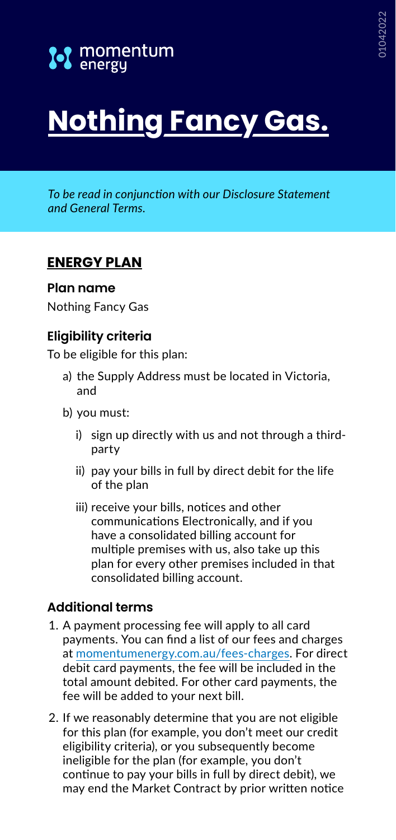

# **Nothing Fancy Gas.**

*To be read in conjunction with our Disclosure Statement and General Terms.*

# **ENERGY PLAN**

#### **Plan name**

Nothing Fancy Gas

## **Eligibility criteria**

To be eligible for this plan:

- a) the Supply Address must be located in Victoria, and
- b) you must:
	- i) sign up directly with us and not through a thirdparty
	- ii) pay your bills in full by direct debit for the life of the plan
	- iii) receive your bills, notices and other communications Electronically, and if you have a consolidated billing account for multiple premises with us, also take up this plan for every other premises included in that consolidated billing account.

## **Additional terms**

- 1. A payment processing fee will apply to all card payments. You can find a list of our fees and charges at [momentumenergy.com.au/fees-charges](https://www.momentumenergy.com.au/fees-charges). For direct debit card payments, the fee will be included in the total amount debited. For other card payments, the fee will be added to your next bill.
- 2. If we reasonably determine that you are not eligible for this plan (for example, you don't meet our credit eligibility criteria), or you subsequently become ineligible for the plan (for example, you don't continue to pay your bills in full by direct debit), we may end the Market Contract by prior written notice